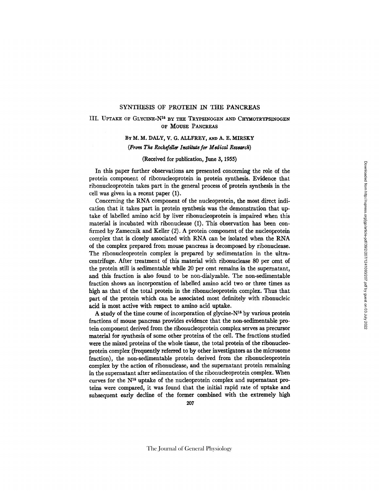### SYNTHESIS OF PROTEIN IN THE PANCREAS

# III. UPTAKE OF GLYCINE-N<sup>16</sup> BY THE TRYPSINOGEN AND CHYMOTRYPSINOGEN OF MOUSE PANCREAS

## BY M. M. DALY, V. G. ALLFREY, AND A. E. MIRSKY

#### *(From The Rockefdler Institute for Medical Research)*

#### (Received for publication, June 3, 1955)

In this paper further observations are presented concerning the role of the protein component of ribonucleoprotein in protein synthesis. Evidence that ribonucleoprotein takes part in the general process of protein synthesis in the cell was given in a recent paper (1).

Concerning the RNA component of the nucleoprotein, the most direct indication that it takes part in protein synthesis was the demonstration that uptake of labelled amino acid by liver ribonucleoprotein is impaired when this material is incubated with ribonuclease (1). This observation has been confirmed by Zamecnik and Keller (2). A protein component of the nucleoprotein complex that is closely associated with RNA can be isolated when the RNA of the complex prepared from mouse pancreas is decomposed by ribonuclease. The ribonucleoprotein complex is prepared by sedimentation in the ultracentrifuge. After treatment of this material with ribonuclease 80 per cent of the protein still is sedimentable while 20 per cent remains in the supernatant, and this fraction is also found to be non-dialyzable. The non-sedimentable fraction shows an incorporation of labelled amino acid two or three times as high as that of the total protein in the ribonucleoprotein complex. Thus that part of the protein which can be associated most definitely with ribonucleic acid is most active with respect to amino acid uptake.

A study of the time course of incorporation of glycine- $N^{16}$  by various protein fractions of mouse pancreas provides evidence that the non-sedimentable protein component derived from the ribonucleoprotein complex serves as precursor material for synthesis of some other proteins of the cell. The fractions studied were the mixed proteins of the whole tissue, the total protein of the ribonucleoprotein complex (frequently referred to by other investigators as the microsome fraction), the non-sedimentable protein derived from the ribonucleoprotein complex by the action of ribonuclease, and the supernatant protein remaining in the supernatant after sedimentation of the ribonucleoprotein complex. When curves for the  $N^{16}$  uptake of the nucleoprotein complex and supernatant proteins were compared, it was found that the initial rapid rate of uptake and subsequent early decline of the former combined with the extremely high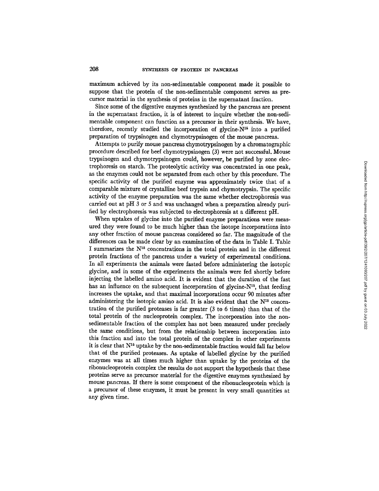maximum achieved by its non-sedimentable component made it possible to suppose that the protein of the non-sedimentable component serves as precursor material in the synthesis of proteins in the supernatant fraction.

Since some of the digestive enzymes synthesized by the pancreas are present in the supernatant fraction, it is of interest to inquire whether the non-sedimentable component can function as a precursor in their synthesis. We have, therefore, recently studied the incorporation of glycine- $N^{16}$  into a purified preparation of trypsinogen and chymotrypsinogen of the mouse pancreas.

Attempts to purify mouse pancreas chymotrypsinogen by a chromatographic procedure described for beef chymotrypsinogen (3) were not successful. Mouse trypsinogen and chymotrypsinogen could, however, be purified by zone electrophoresis on starch. The proteolytic activity was concentrated in one peak, as the enzymes could not be separated from each other by this procedure. The specific activity of the purified enzyme was approximately twice that of a comparable mixture of crystalline beef trypsin and chymotrypsin. The specific activity of the enzyme preparation was the same whether electrophoresis was carried out at pH 3 or 5 and was unchanged when a preparation already purified by electrophoresis was subjected to electrophoresis at a different pH.

When uptakes of glycine into the purified enzyme preparations were measured they were found to be much higher than the isotope incorporations into any other fraction of mouse pancreas considered so far. The magnitude of the differences can be made clear by an examination of the data in Table I. Table I summarizes the  $N^{15}$  concentrations in the total protein and in the different protein fractions of the pancreas under a variety of experimental conditions. In all experiments the animals were fasted before administering the isotopic glycine, and in some of the experiments the animals were fed shortly before injecting the labelled amino acid. It is evident that the duration of the fast has an influence on the subsequent incorporation of glycine- $N<sup>15</sup>$ , that feeding increases the uptake, and that maximal incorporations occur 90 minutes after administering the isotopic amino acid. It is also evident that the  $N^{16}$  concentration of the purified proteases is far greater (3 to 6 times) than that of the total protein of the nucleoprotein complex. The incorporation into the nonsedimentable fraction of the complex has not been measured under precisely the same conditions, but from the relationship between incorporation into this fraction and into the total protein of the complex in other experiments it is clear that  $N^{16}$  uptake by the non-sedimentable fraction would fall far below that of the purified proteases. As uptake of labelled glycine by the purified enzymes was at all times much higher than uptake by the proteins of the ribonucleoprotein complex the results do not support the hypothesis that these proteins serve as precursor material for the digestive enzymes synthesized by mouse pancreas. If there is some component of the ribonucleoprotein which is a precursor of these enzymes, it must be present in very small quantities at any given time.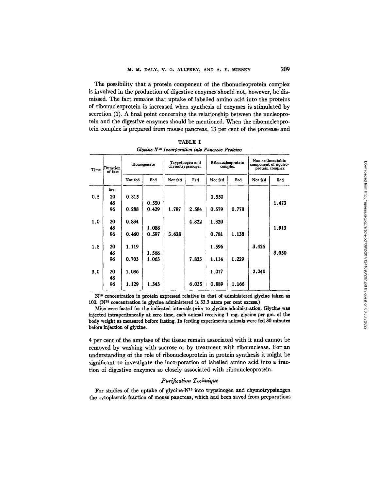The possibility that a protein component of the ribonucleoprotein complex is involved in the production of digestive enzymes should not, however, be dismissed. The fact remains that uptake of labelled amino acid into the proteins of ribonucleoprotein is increased when synthesis of enzymes is stimulated by secretion (1). A final point concerning the relationship between the nucleoprotein and the digestive enzymes should be mentioned. When the ribonucleoprotein complex is prepared from mouse pancreas, 13 per cent of the protease and

| Time | Duration<br>of fast | Homogenate |       | Trypsinogen and<br>chymotrypsinogen |       | Ribonucleoprotein<br>complex |       | Non-sedimentable<br>component of nucleo-<br>protein complex |       |
|------|---------------------|------------|-------|-------------------------------------|-------|------------------------------|-------|-------------------------------------------------------------|-------|
|      |                     | Not fed    | Fed   | Not fed                             | Fed   | Not fed                      | Fed   | Not fed                                                     | Fed   |
|      | hrs.                |            |       |                                     |       |                              |       |                                                             |       |
| 0.5  | 20                  | 0.315      |       |                                     |       | 0.550                        |       |                                                             |       |
|      | 48                  |            | 0.550 |                                     |       |                              |       |                                                             | 1.473 |
|      | 96                  | 0.288      | 0.429 | 1.787                               | 2.584 | 0.579                        | 0.778 |                                                             |       |
| 1.0  | 20                  | 0.834      |       |                                     | 4.822 | 1.320                        |       |                                                             |       |
|      | 48                  |            | 1.088 |                                     |       |                              |       |                                                             | 1.913 |
|      | 96                  | 0.460      | 0.597 | 3.628                               |       | 0.781                        | 1.138 |                                                             |       |
| 1.5  | 20                  | 1.119      |       |                                     |       | 1.596                        |       | 3.426                                                       |       |
|      | 48                  |            | 1.568 |                                     |       |                              |       |                                                             | 3.050 |
|      | 96                  | 0.703      | 1.063 |                                     | 7.823 | 1.114                        | 1.229 |                                                             |       |
| 3.0  | 20                  | 1.086      |       |                                     |       | 1.017                        |       | 2.240                                                       |       |
|      | 48                  |            |       |                                     |       |                              |       |                                                             |       |
|      | 96                  | 1.129      | 1.343 |                                     | 6.035 | 0.889                        | 1.166 |                                                             |       |

TABLE I  $G$ *l* vcine- $N$ <sup>15</sup> Incorporation into Pancreas Proteins

N<sup>15</sup> concentration in protein expressed relative to that of administered glycine taken as  $100.$  (N<sup>16</sup> concentration in glycine administered is 33.3 atom per cent excess.)

Mice were fasted for the indicated intervals prior to glycine administration. Glycine was injected intraperitoneally at zero time, each animal receiving 1 mg. glycine per gm. of the body weight as measured before fasting. In feeding experiments animals were fed 30 minutes before injection of glycine.

4 per cent of the amylase of the tissue remain associated with it and cannot be removed by washing with sucrose or by treatment with ribonuclease. For an understanding of the role of ribonucleoprotein in protein synthesis it might be significant to investigate the incorporation of labelled amino acid into a fraction of digestive enzymes so closely associated with ribonucleoprotein.

## *Purification Technique*

For studies of the uptake of glycine-N<sup>15</sup> into trypsinogen and chymotrypsinogen the cytoplasmic fraction of mouse pancreas, which had been saved from preparations